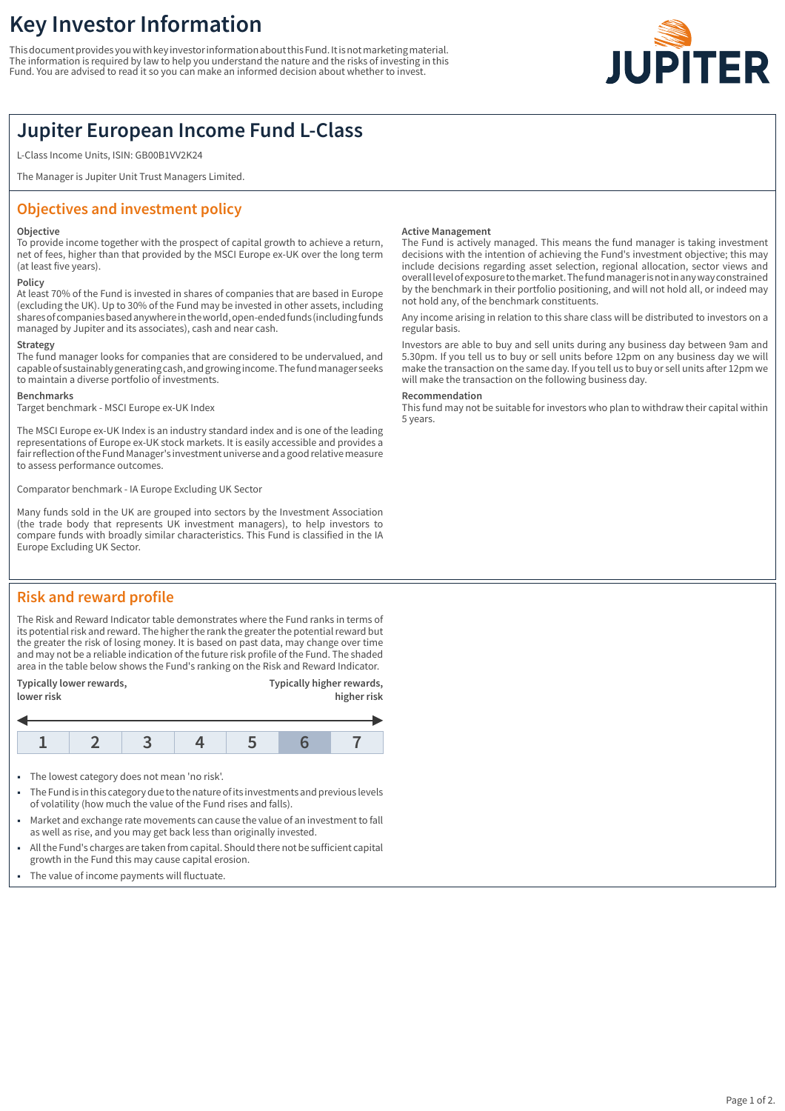# **Key Investor Information**

This document provides you with key investor information about this Fund. It is not marketing material. The information is required by law to help you understand the nature and the risks of investing in this Fund. You are advised to read it so you can make an informed decision about whether to invest.



## **Jupiter European Income Fund L-Class**

L-Class Income Units, ISIN: GB00B1VV2K24

The Manager is Jupiter Unit Trust Managers Limited.

## **Objectives and investment policy**

#### **Objective**

To provide income together with the prospect of capital growth to achieve a return, net of fees, higher than that provided by the MSCI Europe ex-UK over the long term (at least five years).

## **Policy**

At least 70% of the Fund is invested in shares of companies that are based in Europe (excluding the UK). Up to 30% of the Fund may be invested in other assets, including shares of companies based anywhere in the world, open-ended funds (including funds managed by Jupiter and its associates), cash and near cash.

#### **Strategy**

The fund manager looks for companies that are considered to be undervalued, and capable of sustainably generating cash, and growing income. The fund manager seeks to maintain a diverse portfolio of investments.

#### **Benchmarks**

Target benchmark - MSCI Europe ex-UK Index

The MSCI Europe ex-UK Index is an industry standard index and is one of the leading representations of Europe ex-UK stock markets. It is easily accessible and provides a fair reflection of the Fund Manager's investment universe and a good relative measure to assess performance outcomes.

Comparator benchmark - IA Europe Excluding UK Sector

Many funds sold in the UK are grouped into sectors by the Investment Association (the trade body that represents UK investment managers), to help investors to compare funds with broadly similar characteristics. This Fund is classified in the IA Europe Excluding UK Sector.

## **Risk and reward profile**

The Risk and Reward Indicator table demonstrates where the Fund ranks in terms of its potential risk and reward. The higher the rank the greater the potential reward but the greater the risk of losing money. It is based on past data, may change over time and may not be a reliable indication of the future risk profile of the Fund. The shaded area in the table below shows the Fund's ranking on the Risk and Reward Indicator.

| Typically lower rewards,<br>lower risk |  |  |  | Typically higher rewards,<br>higher risk |  |  |
|----------------------------------------|--|--|--|------------------------------------------|--|--|
|                                        |  |  |  |                                          |  |  |
|                                        |  |  |  |                                          |  |  |

- The lowest category does not mean 'no risk'.
- 1 The Fund is in this category due to the nature of its investments and previous levels of volatility (how much the value of the Fund rises and falls).
- Market and exchange rate movements can cause the value of an investment to fall as well as rise, and you may get back less than originally invested.
- 1 All the Fund's charges are taken from capital. Should there not be sufficient capital growth in the Fund this may cause capital erosion.
- The value of income payments will fluctuate.

#### **Active Management**

The Fund is actively managed. This means the fund manager is taking investment decisions with the intention of achieving the Fund's investment objective; this may include decisions regarding asset selection, regional allocation, sector views and overall level of exposure to the market. The fund manager is not in any way constrained by the benchmark in their portfolio positioning, and will not hold all, or indeed may not hold any, of the benchmark constituents.

Any income arising in relation to this share class will be distributed to investors on a regular basis.

Investors are able to buy and sell units during any business day between 9am and 5.30pm. If you tell us to buy or sell units before 12pm on any business day we will make the transaction on the same day. If you tell us to buy or sell units after 12pm we will make the transaction on the following business day.

#### **Recommendation**

This fund may not be suitable for investors who plan to withdraw their capital within 5 years.